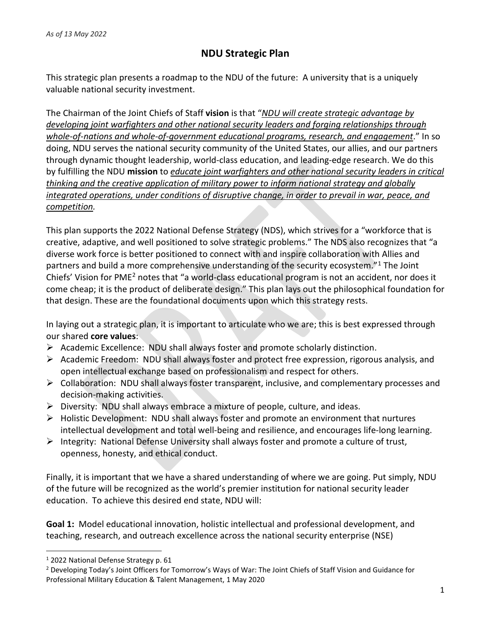## **NDU Strategic Plan**

This strategic plan presents a roadmap to the NDU of the future: A university that is a uniquely valuable national security investment.

The Chairman of the Joint Chiefs of Staff **vision** is that "*NDU will create strategic advantage by developing joint warfighters and other national security leaders and forging relationships through whole-of-nations and whole-of-government educational programs, research, and engagement*." In so doing, NDU serves the national security community of the United States, our allies, and our partners through dynamic thought leadership, world-class education, and leading-edge research. We do this by fulfilling the NDU **mission** to *educate joint warfighters and other national security leaders in critical thinking and the creative application of military power to inform national strategy and globally integrated operations, under conditions of disruptive change, in order to prevail in war, peace, and competition.*

This plan supports the 2022 National Defense Strategy (NDS), which strives for a "workforce that is creative, adaptive, and well positioned to solve strategic problems." The NDS also recognizes that "a diverse work force is better positioned to connect with and inspire collaboration with Allies and partners and build a more comprehensive understanding of the security ecosystem."[1](#page-0-0) The Joint Chiefs' Vision for PME[2](#page-0-1) notes that "a world-class educational program is not an accident, nor does it come cheap; it is the product of deliberate design." This plan lays out the philosophical foundation for that design. These are the foundational documents upon which this strategy rests.

In laying out a strategic plan, it is important to articulate who we are; this is best expressed through our shared **core values**:

- $\triangleright$  Academic Excellence: NDU shall always foster and promote scholarly distinction.
- $\triangleright$  Academic Freedom: NDU shall always foster and protect free expression, rigorous analysis, and open intellectual exchange based on professionalism and respect for others.
- $\triangleright$  Collaboration: NDU shall always foster transparent, inclusive, and complementary processes and decision-making activities.
- $\triangleright$  Diversity: NDU shall always embrace a mixture of people, culture, and ideas.
- $\triangleright$  Holistic Development: NDU shall always foster and promote an environment that nurtures intellectual development and total well-being and resilience, and encourages life-long learning.
- Integrity: National Defense University shall always foster and promote a culture of trust, openness, honesty, and ethical conduct.

Finally, it is important that we have a shared understanding of where we are going. Put simply, NDU of the future will be recognized as the world's premier institution for national security leader education. To achieve this desired end state, NDU will:

**Goal 1:** Model educational innovation, holistic intellectual and professional development, and teaching, research, and outreach excellence across the national security enterprise (NSE)

<span id="page-0-0"></span><sup>1</sup> 2022 National Defense Strategy p. 61

<span id="page-0-1"></span><sup>2</sup> Developing Today's Joint Officers for Tomorrow's Ways of War: The Joint Chiefs of Staff Vision and Guidance for Professional Military Education & Talent Management, 1 May 2020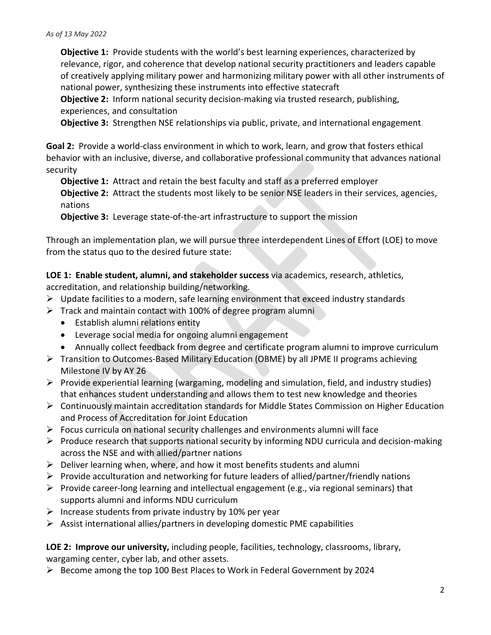**Objective 1:** Provide students with the world's best learning experiences, characterized by relevance, rigor, and coherence that develop national security practitioners and leaders capable of creatively applying military power and harmonizing military power with all other instruments of national power, synthesizing these instruments into effective statecraft

**Objective 2:** Inform national security decision-making via trusted research, publishing, experiences, and consultation

**Objective 3:** Strengthen NSE relationships via public, private, and international engagement

**Goal 2:** Provide a world-class environment in which to work, learn, and grow that fosters ethical behavior with an inclusive, diverse, and collaborative professional community that advances national security

**Objective 1:** Attract and retain the best faculty and staff as a preferred employer **Objective 2:** Attract the students most likely to be senior NSE leaders in their services, agencies, nations

**Objective 3:** Leverage state-of-the-art infrastructure to support the mission

Through an implementation plan, we will pursue three interdependent Lines of Effort (LOE) to move from the status quo to the desired future state:

**LOE 1: Enable student, alumni, and stakeholder success** via academics, research, athletics,

accreditation, and relationship building/networking.

- $\triangleright$  Update facilities to a modern, safe learning environment that exceed industry standards
- $\triangleright$  Track and maintain contact with 100% of degree program alumni
	- Establish alumni relations entity
	- Leverage social media for ongoing alumni engagement
	- Annually collect feedback from degree and certificate program alumni to improve curriculum
- Transition to Outcomes-Based Military Education (OBME) by all JPME II programs achieving Milestone IV by AY 26
- $\triangleright$  Provide experiential learning (wargaming, modeling and simulation, field, and industry studies) that enhances student understanding and allows them to test new knowledge and theories
- Continuously maintain accreditation standards for Middle States Commission on Higher Education and Process of Accreditation for Joint Education
- $\triangleright$  Focus curricula on national security challenges and environments alumni will face
- $\triangleright$  Produce research that supports national security by informing NDU curricula and decision-making across the NSE and with allied/partner nations
- $\triangleright$  Deliver learning when, where, and how it most benefits students and alumni
- $\triangleright$  Provide acculturation and networking for future leaders of allied/partner/friendly nations
- $\triangleright$  Provide career-long learning and intellectual engagement (e.g., via regional seminars) that supports alumni and informs NDU curriculum
- $\triangleright$  Increase students from private industry by 10% per year
- $\triangleright$  Assist international allies/partners in developing domestic PME capabilities

**LOE 2: Improve our university,** including people, facilities, technology, classrooms, library, wargaming center, cyber lab, and other assets.

 $\triangleright$  Become among the top 100 Best Places to Work in Federal Government by 2024